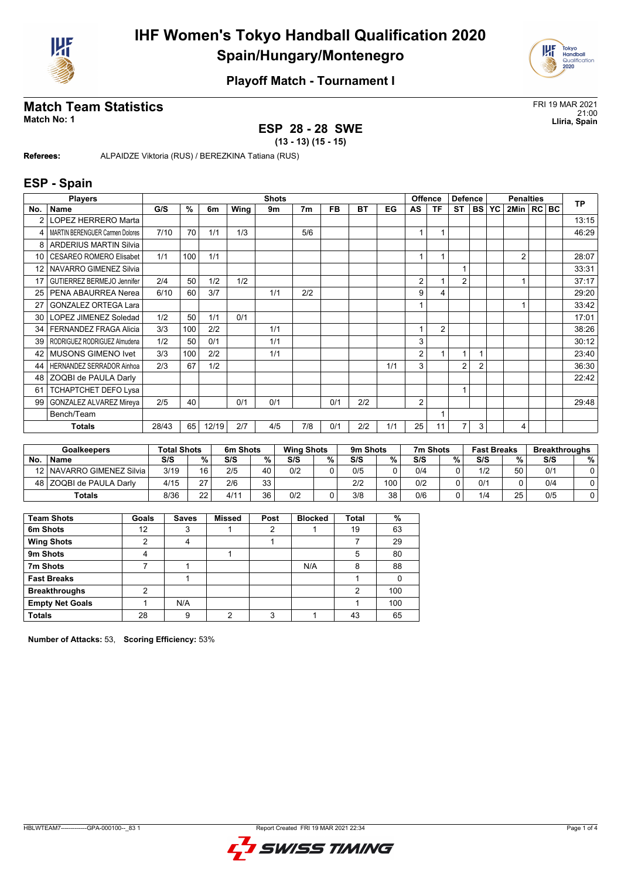



# **Match Team Statistics**<br>Match No: 1<br>Lliria, Spain

#### **ESP 28 - 28 SWE**

21:00 **Match No: 1 Lliria, Spain**

**(13 - 13) (15 - 15)**

**Referees:** ALPAIDZE Viktoria (RUS) / BEREZKINA Tatiana (RUS)

#### **ESP - Spain**

|                 | <b>Players</b>                         |       |      |       |      | <b>Shots</b> |                |           |           |     |                | <b>Offence</b> | <b>Defence</b> |           | <b>Penalties</b> |                |  |  | <b>TP</b> |
|-----------------|----------------------------------------|-------|------|-------|------|--------------|----------------|-----------|-----------|-----|----------------|----------------|----------------|-----------|------------------|----------------|--|--|-----------|
| No.             | Name                                   | G/S   | $\%$ | 6m    | Wing | 9m           | 7 <sub>m</sub> | <b>FB</b> | <b>BT</b> | EG  | AS             | <b>TF</b>      | <b>ST</b>      | <b>BS</b> | YC               | 2Min   RC BC   |  |  |           |
| $\overline{2}$  | LOPEZ HERRERO Marta                    |       |      |       |      |              |                |           |           |     |                |                |                |           |                  |                |  |  | 13:15     |
| 4               | <b>MARTIN BERENGUER Carmen Dolores</b> | 7/10  | 70   | 1/1   | 1/3  |              | 5/6            |           |           |     | 1              |                |                |           |                  |                |  |  | 46:29     |
| 8               | <b>ARDERIUS MARTIN Silvia</b>          |       |      |       |      |              |                |           |           |     |                |                |                |           |                  |                |  |  |           |
| 10              | <b>CESAREO ROMERO Elisabet</b>         | 1/1   | 100  | 1/1   |      |              |                |           |           |     | 1              | 1              |                |           |                  | $\overline{2}$ |  |  | 28:07     |
| 12 <sup>2</sup> | NAVARRO GIMENEZ Silvia                 |       |      |       |      |              |                |           |           |     |                |                |                |           |                  |                |  |  | 33:31     |
| 17              | GUTIERREZ BERMEJO Jennifer             | 2/4   | 50   | 1/2   | 1/2  |              |                |           |           |     | 2              |                | $\overline{2}$ |           |                  |                |  |  | 37:17     |
| 25              | PENA ABAURREA Nerea                    | 6/10  | 60   | 3/7   |      | 1/1          | 2/2            |           |           |     | 9              | 4              |                |           |                  |                |  |  | 29:20     |
| 27              | <b>GONZALEZ ORTEGA Lara</b>            |       |      |       |      |              |                |           |           |     |                |                |                |           |                  |                |  |  | 33:42     |
| 30              | LOPEZ JIMENEZ Soledad                  | 1/2   | 50   | 1/1   | 0/1  |              |                |           |           |     |                |                |                |           |                  |                |  |  | 17:01     |
| 34              | FERNANDEZ FRAGA Alicia                 | 3/3   | 100  | 2/2   |      | 1/1          |                |           |           |     | 1              | $\overline{2}$ |                |           |                  |                |  |  | 38:26     |
| 39              | RODRIGUEZ RODRIGUEZ Almudena           | 1/2   | 50   | 0/1   |      | 1/1          |                |           |           |     | 3              |                |                |           |                  |                |  |  | 30:12     |
| 42              | <b>MUSONS GIMENO Ivet</b>              | 3/3   | 100  | 2/2   |      | 1/1          |                |           |           |     | $\overline{2}$ |                | 1              |           |                  |                |  |  | 23:40     |
| 44              | <b>HERNANDEZ SERRADOR Ainhoa</b>       | 2/3   | 67   | 1/2   |      |              |                |           |           | 1/1 | 3              |                | $\overline{2}$ | 2         |                  |                |  |  | 36:30     |
| 48              | ZOQBI de PAULA Darly                   |       |      |       |      |              |                |           |           |     |                |                |                |           |                  |                |  |  | 22:42     |
| 61              | <b>TCHAPTCHET DEFO Lysa</b>            |       |      |       |      |              |                |           |           |     |                |                |                |           |                  |                |  |  |           |
| 99              | <b>GONZALEZ ALVAREZ Mireya</b>         | 2/5   | 40   |       | 0/1  | 0/1          |                | 0/1       | 2/2       |     | $\overline{2}$ |                |                |           |                  |                |  |  | 29:48     |
|                 | Bench/Team                             |       |      |       |      |              |                |           |           |     |                | 1              |                |           |                  |                |  |  |           |
|                 | Totals                                 | 28/43 | 65   | 12/19 | 2/7  | 4/5          | 7/8            | 0/1       | 2/2       | 1/1 | 25             | 11             | 7              | 3         |                  | 4              |  |  |           |

| <b>Goalkeepers</b> |                             | <b>Total Shots</b> |    | 6m Shots |      |     | <b>Wing Shots</b> |     | 9m Shots |     | 7m Shots |     | <b>Fast Breaks</b> | <b>Breakthroughs</b> |   |
|--------------------|-----------------------------|--------------------|----|----------|------|-----|-------------------|-----|----------|-----|----------|-----|--------------------|----------------------|---|
| No.                | <b>Name</b>                 | S/S                | %  | S/S      | $\%$ | S/S | %                 | S/S | %        | S/S | %        | S/S | %                  | S/S                  | % |
|                    | 12   NAVARRO GIMENEZ Silvia | 3/19               | 16 | 2/5      | 40   | 0/2 |                   | 0/5 |          | 0/4 |          | 1/2 | 50                 | 0/1                  |   |
|                    | 48 ZOQBI de PAULA Darly     | 4/15               | 27 | 2/6      | 33   |     |                   | 2/2 | 100      | 0/2 |          | 0/1 |                    | 0/4                  |   |
|                    | <b>Totals</b>               | 8/36               | つつ | 4/11     | 36   | 0/2 |                   | 3/8 | 38       | 0/6 |          | 1/4 | 25                 | 0/5                  |   |

| <b>Team Shots</b>      | Goals | <b>Saves</b> | <b>Missed</b> | Post | <b>Blocked</b> | Total | %   |
|------------------------|-------|--------------|---------------|------|----------------|-------|-----|
| 6m Shots               | 12    | 3            |               | 2    |                | 19    | 63  |
| <b>Wing Shots</b>      | ◠     | 4            |               |      |                |       | 29  |
| 9m Shots               | 4     |              |               |      |                | 5     | 80  |
| 7m Shots               |       |              |               |      | N/A            | 8     | 88  |
| <b>Fast Breaks</b>     |       |              |               |      |                |       |     |
| <b>Breakthroughs</b>   | າ     |              |               |      |                | 2     | 100 |
| <b>Empty Net Goals</b> |       | N/A          |               |      |                |       | 100 |
| <b>Totals</b>          | 28    | 9            | っ             | ົ    |                | 43    | 65  |

**Number of Attacks:** 53, **Scoring Efficiency:** 53%

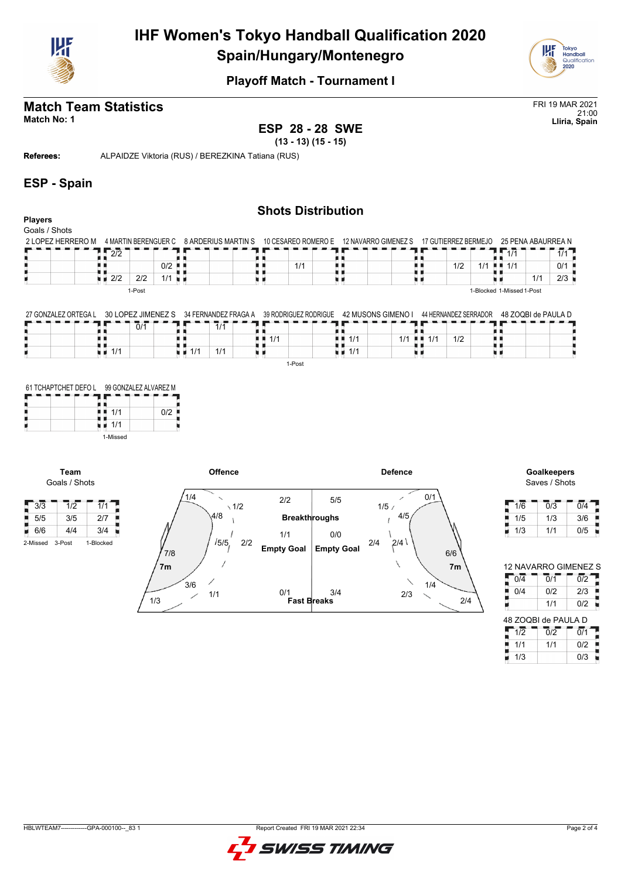



## **Match Team Statistics** FRI 19 MAR 2021

21:00 **Match No: 1 Lliria, Spain ESP 28 - 28 SWE**

**(13 - 13) (15 - 15)**

**Referees:** ALPAIDZE Viktoria (RUS) / BEREZKINA Tatiana (RUS)

#### **ESP - Spain**

#### **Shots Distribution Players** Goals / Shots 2 LOPEZ HERRERO M \_ 4 MARTIN BERENGUER C \_ 8 ARDERIUS MARTIN S \_ 10 CESAREO ROMERO E \_ 12 NAVARRO GIMENEZ S \_ 17 GUTIERREZ BERMEJO \_ 25 PENA ABAURREA N  $1/1$   $1/1$ 2/2 п ī A Q йĄ ji k R, H H  $1/1$  0/1 н н 0/2 t i 1/1 н н  $1/2$  1/1 ж u,  $\frac{1}{2}$  2/2 2/2 1/1  $1/1$  2/3 u r u i u a 电电 1-Post 1-Blocked 1-Missed 1-Post

27 GONZALEZ ORTEGA L 30 LOPEZ JIMENEZ S 34 FERNANDEZ FRAGA A 39 RODRIGUEZ RODRIGUE 42 MUSONS GIMENO I 44 HERNANDEZ SERRADOR 48 ZOQBI de PAULA D

| 0/1 | 1/1                    |                                   |                                     |                                           |     |  |
|-----|------------------------|-----------------------------------|-------------------------------------|-------------------------------------------|-----|--|
|     |                        | $\blacksquare$ $\blacksquare$ 1/1 | $\blacksquare$ $\blacksquare$ $1/1$ | $1/1$ $\blacksquare$ $\blacksquare$ $1/1$ | 1/2 |  |
| 1/1 | 1/1<br>1/1<br>н. н. н. |                                   | 1/1                                 |                                           |     |  |
|     |                        | 1-Post                            |                                     |                                           |     |  |

| 61 TCHAPTCHET DEFO L | 99 GONZALEZ ALVAREZ M |     |
|----------------------|-----------------------|-----|
|                      |                       |     |
|                      | 1/1<br>1/1            | 0/2 |
|                      | 1-Missed              |     |

**Team** Goals / Shots





| 1/6 | 0/3 | 0/4 |
|-----|-----|-----|
| 1/5 | 1/3 | 3/6 |
| 1/3 | 1/1 | 0/5 |

| <b>12 NAVARRO GIMENEZ S</b> |     |                  |  |  |  |  |  |  |  |  |  |
|-----------------------------|-----|------------------|--|--|--|--|--|--|--|--|--|
| $\overline{0}/\overline{4}$ | 0/1 | $\overline{0/2}$ |  |  |  |  |  |  |  |  |  |
| 0/4                         | 0/2 | 2/3              |  |  |  |  |  |  |  |  |  |
|                             | 1/1 | 0/2              |  |  |  |  |  |  |  |  |  |
|                             |     |                  |  |  |  |  |  |  |  |  |  |
| 48 ZOQBI de PAULA D         |     |                  |  |  |  |  |  |  |  |  |  |
| 1/2                         | 0/2 | 0/1              |  |  |  |  |  |  |  |  |  |
| 1/1                         | 1/1 | 0/2              |  |  |  |  |  |  |  |  |  |

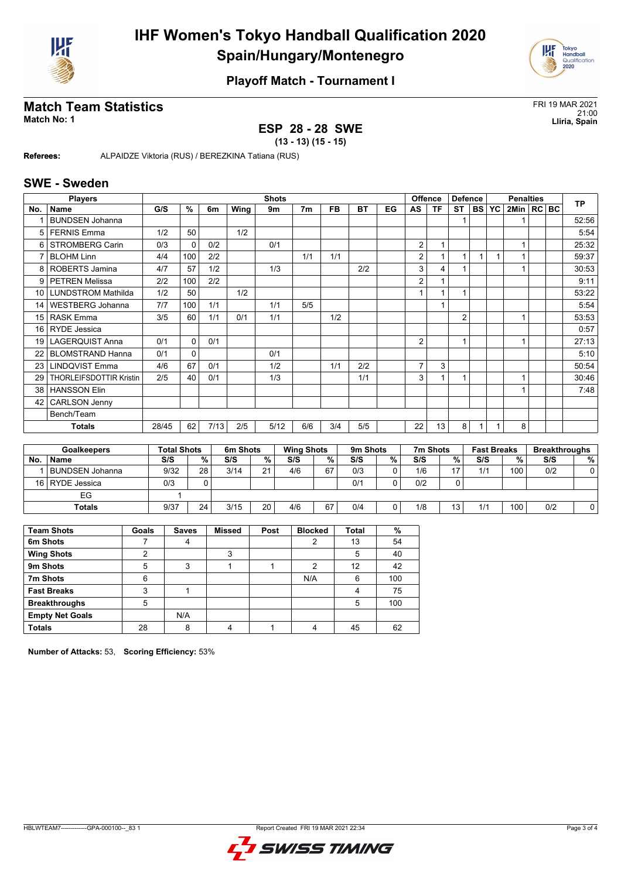



# **Match Team Statistics**<br>Match No: 1<br>Lliria, Spain

#### **ESP 28 - 28 SWE**

21:00 **Match No: 1 Lliria, Spain**

**(13 - 13) (15 - 15)**

**Referees:** ALPAIDZE Viktoria (RUS) / BEREZKINA Tatiana (RUS)

#### **SWE - Sweden**

|                 | <b>Players</b>                 |       |              |      |      | <b>Shots</b> |                |           |           |    |                | <b>Offence</b> | <b>Defence</b> |  | <b>Penalties</b> |              |  |  | <b>TP</b> |
|-----------------|--------------------------------|-------|--------------|------|------|--------------|----------------|-----------|-----------|----|----------------|----------------|----------------|--|------------------|--------------|--|--|-----------|
| No.             | <b>Name</b>                    | G/S   | %            | 6m   | Wing | 9m           | 7 <sub>m</sub> | <b>FB</b> | <b>BT</b> | EG | AS             | <b>TF</b>      | <b>ST</b>      |  | <b>BS YC</b>     | 2Min   RC BC |  |  |           |
|                 | <b>BUNDSEN Johanna</b>         |       |              |      |      |              |                |           |           |    |                |                |                |  |                  |              |  |  | 52:56     |
| 5 <sub>1</sub>  | <b>FERNIS Emma</b>             | 1/2   | 50           |      | 1/2  |              |                |           |           |    |                |                |                |  |                  |              |  |  | 5:54      |
| 6               | <b>STROMBERG Carin</b>         | 0/3   | $\Omega$     | 0/2  |      | 0/1          |                |           |           |    | 2              |                |                |  |                  |              |  |  | 25:32     |
|                 | <b>BLOHM Linn</b>              | 4/4   | 100          | 2/2  |      |              | 1/1            | 1/1       |           |    | 2              |                | 1              |  |                  |              |  |  | 59:37     |
| 8               | ROBERTS Jamina                 | 4/7   | 57           | 1/2  |      | 1/3          |                |           | 2/2       |    | 3              | 4              |                |  |                  |              |  |  | 30:53     |
| 9               | <b>PETREN Melissa</b>          | 2/2   | 100          | 2/2  |      |              |                |           |           |    | 2              |                |                |  |                  |              |  |  | 9:11      |
|                 | 10 LUNDSTROM Mathilda          | 1/2   | 50           |      | 1/2  |              |                |           |           |    |                |                | 1              |  |                  |              |  |  | 53:22     |
| 14              | <b>WESTBERG Johanna</b>        | 7/7   | 100          | 1/1  |      | 1/1          | 5/5            |           |           |    |                |                |                |  |                  |              |  |  | 5:54      |
| 15              | <b>RASK Emma</b>               | 3/5   | 60           | 1/1  | 0/1  | 1/1          |                | 1/2       |           |    |                |                | $\overline{2}$ |  |                  |              |  |  | 53:53     |
| 16 <sup>1</sup> | <b>RYDE</b> Jessica            |       |              |      |      |              |                |           |           |    |                |                |                |  |                  |              |  |  | 0:57      |
| 19 l            | <b>LAGERQUIST Anna</b>         | 0/1   | $\Omega$     | 0/1  |      |              |                |           |           |    | $\overline{2}$ |                | 1              |  |                  |              |  |  | 27:13     |
| 22              | <b>BLOMSTRAND Hanna</b>        | 0/1   | $\mathbf{0}$ |      |      | 0/1          |                |           |           |    |                |                |                |  |                  |              |  |  | 5:10      |
| 23              | <b>LINDQVIST Emma</b>          | 4/6   | 67           | 0/1  |      | 1/2          |                | 1/1       | 2/2       |    | $\overline{7}$ | 3              |                |  |                  |              |  |  | 50:54     |
| 29              | <b>THORLEIFSDOTTIR Kristin</b> | 2/5   | 40           | 0/1  |      | 1/3          |                |           | 1/1       |    | 3              |                | 1              |  |                  |              |  |  | 30:46     |
| 38              | <b>HANSSON Elin</b>            |       |              |      |      |              |                |           |           |    |                |                |                |  |                  |              |  |  | 7:48      |
| 42              | <b>CARLSON Jenny</b>           |       |              |      |      |              |                |           |           |    |                |                |                |  |                  |              |  |  |           |
|                 | Bench/Team                     |       |              |      |      |              |                |           |           |    |                |                |                |  |                  |              |  |  |           |
|                 | <b>Totals</b>                  | 28/45 | 62           | 7/13 | 2/5  | 5/12         | 6/6            | 3/4       | 5/5       |    | 22             | 13             | 8              |  | $\mathbf{1}$     | 8            |  |  |           |
|                 |                                |       |              |      |      |              |                |           |           |    |                |                |                |  |                  |              |  |  |           |

| <b>Goalkeepers</b> |                     | <b>Total Shots</b> |    | 6m Shots |    |     | <b>Wing Shots</b> |     | 9m Shots |     | 7m Shots        |     | <b>Fast Breaks</b> |     | <b>Breakthroughs</b> |  |
|--------------------|---------------------|--------------------|----|----------|----|-----|-------------------|-----|----------|-----|-----------------|-----|--------------------|-----|----------------------|--|
| No.                | <b>Name</b>         | S/S                | %  | S/S      | %  | S/S | %                 | S/S | %        | S/S | %               | S/S | %                  | S/S | %                    |  |
|                    | . I BUNDSEN Johanna | 9/32               | 28 | 3/14     | 21 | 4/6 | 67                | 0/3 | 0        | 1/6 | 17              | 1/1 | 100                | 0/2 |                      |  |
|                    | 16 RYDE Jessica     | 0/3                |    |          |    |     |                   | 0/1 |          | 0/2 |                 |     |                    |     |                      |  |
|                    | EG                  |                    |    |          |    |     |                   |     |          |     |                 |     |                    |     |                      |  |
|                    | <b>Totals</b>       | 9/37               | 24 | 3/15     | 20 | 4/6 | 67                | 0/4 | 0        | 1/8 | 13 <sub>1</sub> | 1/1 | 100                | 0/2 |                      |  |

| <b>Team Shots</b>      | Goals | <b>Saves</b> | <b>Missed</b> | Post | <b>Blocked</b> | <b>Total</b> | $\%$ |
|------------------------|-------|--------------|---------------|------|----------------|--------------|------|
| 6m Shots               |       | 4            |               |      | 2              | 13           | 54   |
| <b>Wing Shots</b>      | っ     |              | 3             |      |                | 5            | 40   |
| 9m Shots               | 5     | 3            |               |      | 2              | 12           | 42   |
| 7m Shots               | 6     |              |               |      | N/A            | 6            | 100  |
| <b>Fast Breaks</b>     | 3     |              |               |      |                | 4            | 75   |
| <b>Breakthroughs</b>   | 5     |              |               |      |                | 5            | 100  |
| <b>Empty Net Goals</b> |       | N/A          |               |      |                |              |      |
| <b>Totals</b>          | 28    | 8            |               |      |                | 45           | 62   |

**Number of Attacks:** 53, **Scoring Efficiency:** 53%